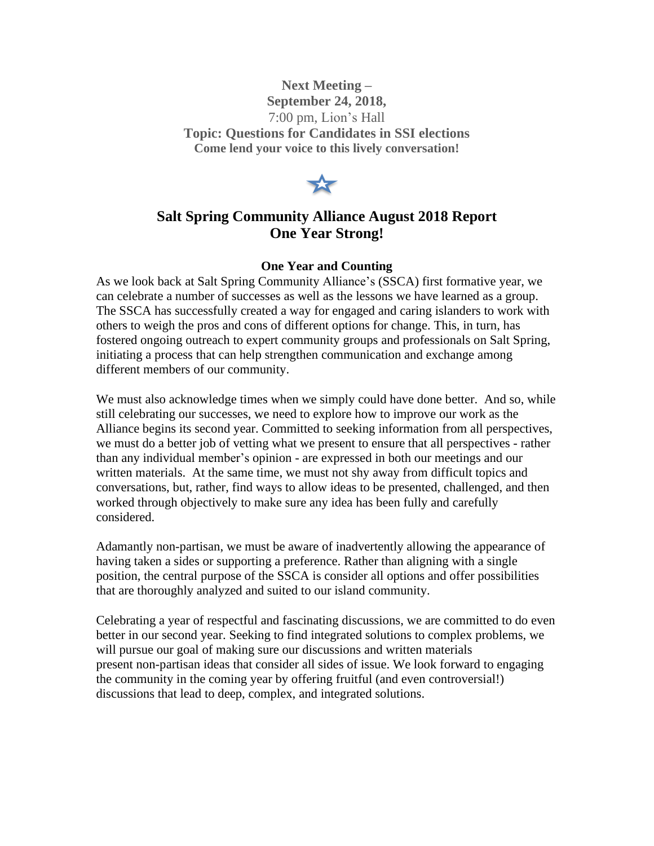**Next Meeting – September 24, 2018,** 7:00 pm, Lion's Hall **Topic: Questions for Candidates in SSI elections Come lend your voice to this lively conversation!**



## **Salt Spring Community Alliance August 2018 Report One Year Strong!**

## **One Year and Counting**

As we look back at Salt Spring Community Alliance's (SSCA) first formative year, we can celebrate a number of successes as well as the lessons we have learned as a group. The SSCA has successfully created a way for engaged and caring islanders to work with others to weigh the pros and cons of different options for change. This, in turn, has fostered ongoing outreach to expert community groups and professionals on Salt Spring, initiating a process that can help strengthen communication and exchange among different members of our community.

We must also acknowledge times when we simply could have done better. And so, while still celebrating our successes, we need to explore how to improve our work as the Alliance begins its second year. Committed to seeking information from all perspectives, we must do a better job of vetting what we present to ensure that all perspectives - rather than any individual member's opinion - are expressed in both our meetings and our written materials. At the same time, we must not shy away from difficult topics and conversations, but, rather, find ways to allow ideas to be presented, challenged, and then worked through objectively to make sure any idea has been fully and carefully considered.

Adamantly non-partisan, we must be aware of inadvertently allowing the appearance of having taken a sides or supporting a preference. Rather than aligning with a single position, the central purpose of the SSCA is consider all options and offer possibilities that are thoroughly analyzed and suited to our island community.

Celebrating a year of respectful and fascinating discussions, we are committed to do even better in our second year. Seeking to find integrated solutions to complex problems, we will pursue our goal of making sure our discussions and written materials present non-partisan ideas that consider all sides of issue. We look forward to engaging the community in the coming year by offering fruitful (and even controversial!) discussions that lead to deep, complex, and integrated solutions.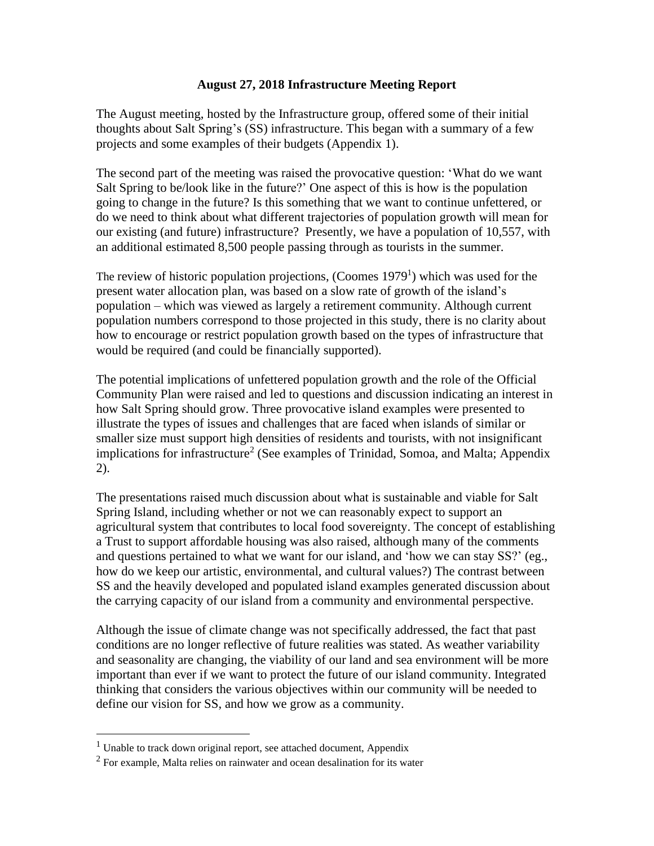## **August 27, 2018 Infrastructure Meeting Report**

The August meeting, hosted by the Infrastructure group, offered some of their initial thoughts about Salt Spring's (SS) infrastructure. This began with a summary of a few projects and some examples of their budgets (Appendix 1).

The second part of the meeting was raised the provocative question: 'What do we want Salt Spring to be/look like in the future?' One aspect of this is how is the population going to change in the future? Is this something that we want to continue unfettered, or do we need to think about what different trajectories of population growth will mean for our existing (and future) infrastructure? Presently, we have a population of 10,557, with an additional estimated 8,500 people passing through as tourists in the summer.

The review of historic population projections, (Coomes 1979<sup>1</sup>) which was used for the present water allocation plan, was based on a slow rate of growth of the island's population – which was viewed as largely a retirement community. Although current population numbers correspond to those projected in this study, there is no clarity about how to encourage or restrict population growth based on the types of infrastructure that would be required (and could be financially supported).

The potential implications of unfettered population growth and the role of the Official Community Plan were raised and led to questions and discussion indicating an interest in how Salt Spring should grow. Three provocative island examples were presented to illustrate the types of issues and challenges that are faced when islands of similar or smaller size must support high densities of residents and tourists, with not insignificant implications for infrastructure<sup>2</sup> (See examples of Trinidad, Somoa, and Malta; Appendix 2).

The presentations raised much discussion about what is sustainable and viable for Salt Spring Island, including whether or not we can reasonably expect to support an agricultural system that contributes to local food sovereignty. The concept of establishing a Trust to support affordable housing was also raised, although many of the comments and questions pertained to what we want for our island, and 'how we can stay SS?' (eg., how do we keep our artistic, environmental, and cultural values?) The contrast between SS and the heavily developed and populated island examples generated discussion about the carrying capacity of our island from a community and environmental perspective.

Although the issue of climate change was not specifically addressed, the fact that past conditions are no longer reflective of future realities was stated. As weather variability and seasonality are changing, the viability of our land and sea environment will be more important than ever if we want to protect the future of our island community. Integrated thinking that considers the various objectives within our community will be needed to define our vision for SS, and how we grow as a community.

<sup>&</sup>lt;sup>1</sup> Unable to track down original report, see attached document, Appendix

 $2^2$  For example, Malta relies on rainwater and ocean desalination for its water